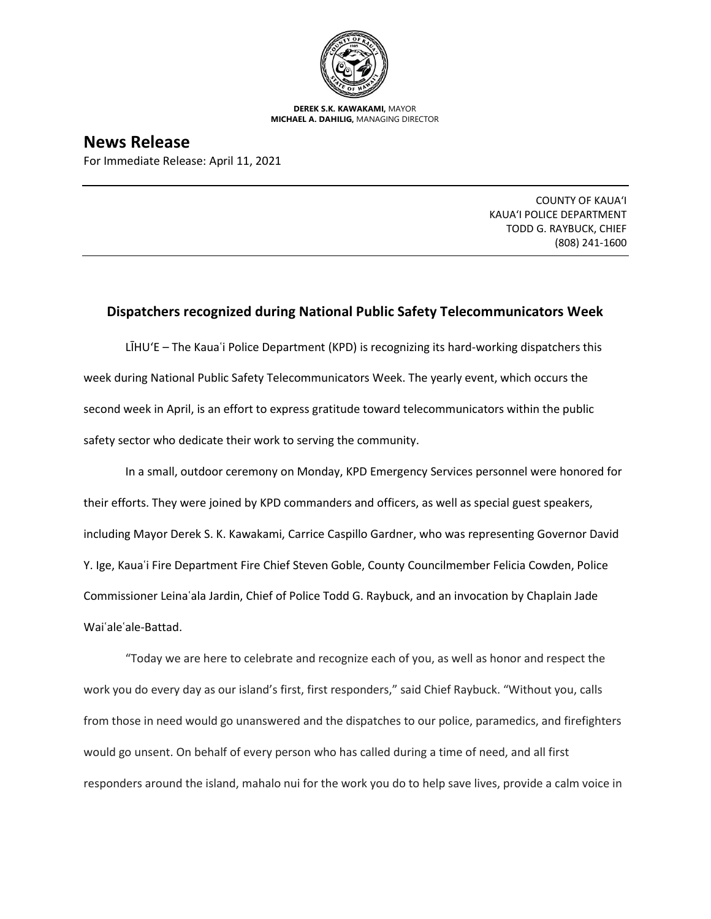

**DEREK S.K. KAWAKAMI,** MAYOR **MICHAEL A. DAHILIG,** MANAGING DIRECTOR

**News Release** For Immediate Release: April 11, 2021

> COUNTY OF KAUA'I KAUA'I POLICE DEPARTMENT TODD G. RAYBUCK, CHIEF (808) 241-1600

## **Dispatchers recognized during National Public Safety Telecommunicators Week**

LĪHU'E – The Kauaʿi Police Department (KPD) is recognizing its hard-working dispatchers this week during National Public Safety Telecommunicators Week. The yearly event, which occurs the second week in April, is an effort to express gratitude toward telecommunicators within the public safety sector who dedicate their work to serving the community.

In a small, outdoor ceremony on Monday, KPD Emergency Services personnel were honored for their efforts. They were joined by KPD commanders and officers, as well as special guest speakers, including Mayor Derek S. K. Kawakami, Carrice Caspillo Gardner, who was representing Governor David Y. Ige, Kauaʿi Fire Department Fire Chief Steven Goble, County Councilmember Felicia Cowden, Police Commissioner Leinaʿala Jardin, Chief of Police Todd G. Raybuck, and an invocation by Chaplain Jade Waiʿaleʿale-Battad.

"Today we are here to celebrate and recognize each of you, as well as honor and respect the work you do every day as our island's first, first responders," said Chief Raybuck. "Without you, calls from those in need would go unanswered and the dispatches to our police, paramedics, and firefighters would go unsent. On behalf of every person who has called during a time of need, and all first responders around the island, mahalo nui for the work you do to help save lives, provide a calm voice in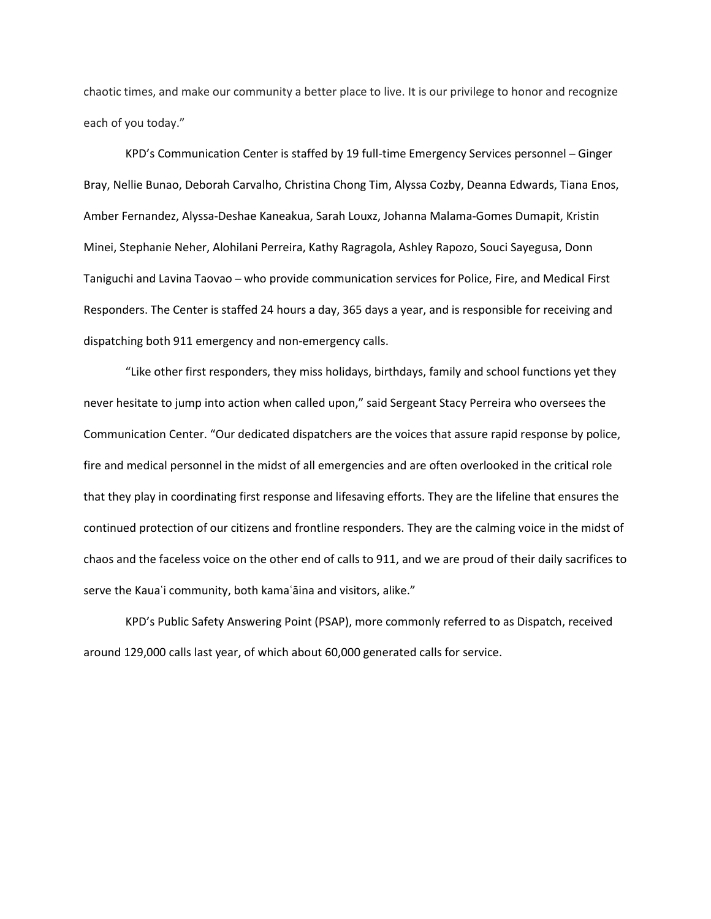chaotic times, and make our community a better place to live. It is our privilege to honor and recognize each of you today."

KPD's Communication Center is staffed by 19 full-time Emergency Services personnel ̶ Ginger Bray, Nellie Bunao, Deborah Carvalho, Christina Chong Tim, Alyssa Cozby, Deanna Edwards, Tiana Enos, Amber Fernandez, Alyssa-Deshae Kaneakua, Sarah Louxz, Johanna Malama-Gomes Dumapit, Kristin Minei, Stephanie Neher, Alohilani Perreira, Kathy Ragragola, Ashley Rapozo, Souci Sayegusa, Donn Taniguchi and Lavina Taovao ̶ who provide communication services for Police, Fire, and Medical First Responders. The Center is staffed 24 hours a day, 365 days a year, and is responsible for receiving and dispatching both 911 emergency and non-emergency calls.

"Like other first responders, they miss holidays, birthdays, family and school functions yet they never hesitate to jump into action when called upon," said Sergeant Stacy Perreira who oversees the Communication Center. "Our dedicated dispatchers are the voices that assure rapid response by police, fire and medical personnel in the midst of all emergencies and are often overlooked in the critical role that they play in coordinating first response and lifesaving efforts. They are the lifeline that ensures the continued protection of our citizens and frontline responders. They are the calming voice in the midst of chaos and the faceless voice on the other end of calls to 911, and we are proud of their daily sacrifices to serve the Kaua'i community, both kama'aina and visitors, alike."

KPD's Public Safety Answering Point (PSAP), more commonly referred to as Dispatch, received around 129,000 calls last year, of which about 60,000 generated calls for service.